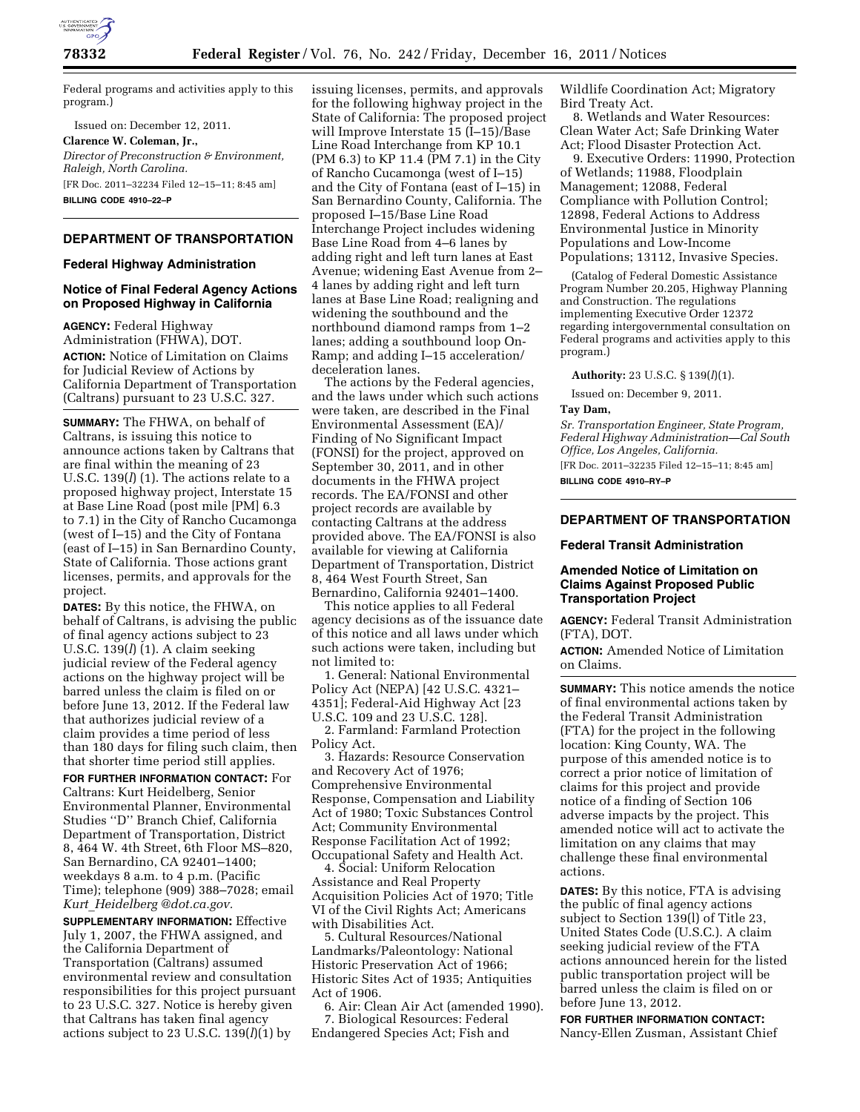

Federal programs and activities apply to this program.)

Issued on: December 12, 2011. **Clarence W. Coleman, Jr.,**  *Director of Preconstruction & Environment, Raleigh, North Carolina.*  [FR Doc. 2011–32234 Filed 12–15–11; 8:45 am] **BILLING CODE 4910–22–P** 

# **DEPARTMENT OF TRANSPORTATION**

## **Federal Highway Administration**

#### **Notice of Final Federal Agency Actions on Proposed Highway in California**

**AGENCY:** Federal Highway Administration (FHWA), DOT. **ACTION:** Notice of Limitation on Claims for Judicial Review of Actions by California Department of Transportation (Caltrans) pursuant to 23 U.S.C. 327.

**SUMMARY:** The FHWA, on behalf of Caltrans, is issuing this notice to announce actions taken by Caltrans that are final within the meaning of 23 U.S.C. 139(*l*) (1). The actions relate to a proposed highway project, Interstate 15 at Base Line Road (post mile [PM] 6.3 to 7.1) in the City of Rancho Cucamonga (west of I–15) and the City of Fontana (east of I–15) in San Bernardino County, State of California. Those actions grant licenses, permits, and approvals for the project.

**DATES:** By this notice, the FHWA, on behalf of Caltrans, is advising the public of final agency actions subject to 23 U.S.C. 139(*l*) (1). A claim seeking judicial review of the Federal agency actions on the highway project will be barred unless the claim is filed on or before June 13, 2012. If the Federal law that authorizes judicial review of a claim provides a time period of less than 180 days for filing such claim, then that shorter time period still applies.

**FOR FURTHER INFORMATION CONTACT:** For Caltrans: Kurt Heidelberg, Senior Environmental Planner, Environmental Studies ''D'' Branch Chief, California Department of Transportation, District 8, 464 W. 4th Street, 6th Floor MS–820, San Bernardino, CA 92401–1400; weekdays 8 a.m. to 4 p.m. (Pacific Time); telephone (909) 388–7028; email *Kurt*\_*[Heidelberg @dot.ca.gov.](mailto:Kurt_Heidelberg@dot.ca.gov)* 

**SUPPLEMENTARY INFORMATION:** Effective July 1, 2007, the FHWA assigned, and the California Department of Transportation (Caltrans) assumed environmental review and consultation responsibilities for this project pursuant to 23 U.S.C. 327. Notice is hereby given that Caltrans has taken final agency actions subject to 23 U.S.C. 139(*l*)(1) by

issuing licenses, permits, and approvals for the following highway project in the State of California: The proposed project will Improve Interstate 15 (I–15)/Base Line Road Interchange from KP 10.1 (PM 6.3) to KP 11.4 (PM 7.1) in the City of Rancho Cucamonga (west of I–15) and the City of Fontana (east of I–15) in San Bernardino County, California. The proposed I–15/Base Line Road Interchange Project includes widening Base Line Road from 4–6 lanes by adding right and left turn lanes at East Avenue; widening East Avenue from 2– 4 lanes by adding right and left turn lanes at Base Line Road; realigning and widening the southbound and the northbound diamond ramps from 1–2 lanes; adding a southbound loop On-Ramp; and adding I–15 acceleration/ deceleration lanes.

The actions by the Federal agencies, and the laws under which such actions were taken, are described in the Final Environmental Assessment (EA)/ Finding of No Significant Impact (FONSI) for the project, approved on September 30, 2011, and in other documents in the FHWA project records. The EA/FONSI and other project records are available by contacting Caltrans at the address provided above. The EA/FONSI is also available for viewing at California Department of Transportation, District 8, 464 West Fourth Street, San Bernardino, California 92401–1400.

This notice applies to all Federal agency decisions as of the issuance date of this notice and all laws under which such actions were taken, including but not limited to:

1. General: National Environmental Policy Act (NEPA) [42 U.S.C. 4321– 4351]; Federal-Aid Highway Act [23 U.S.C. 109 and 23 U.S.C. 128].

2. Farmland: Farmland Protection Policy Act.

3. Hazards: Resource Conservation and Recovery Act of 1976; Comprehensive Environmental Response, Compensation and Liability Act of 1980; Toxic Substances Control Act; Community Environmental Response Facilitation Act of 1992; Occupational Safety and Health Act.

4. Social: Uniform Relocation Assistance and Real Property Acquisition Policies Act of 1970; Title VI of the Civil Rights Act; Americans with Disabilities Act.

5. Cultural Resources/National Landmarks/Paleontology: National Historic Preservation Act of 1966; Historic Sites Act of 1935; Antiquities Act of 1906.

6. Air: Clean Air Act (amended 1990). 7. Biological Resources: Federal Endangered Species Act; Fish and

Wildlife Coordination Act; Migratory Bird Treaty Act.

8. Wetlands and Water Resources: Clean Water Act; Safe Drinking Water Act; Flood Disaster Protection Act.

9. Executive Orders: 11990, Protection of Wetlands; 11988, Floodplain Management; 12088, Federal Compliance with Pollution Control; 12898, Federal Actions to Address Environmental Justice in Minority Populations and Low-Income Populations; 13112, Invasive Species.

(Catalog of Federal Domestic Assistance Program Number 20.205, Highway Planning and Construction. The regulations implementing Executive Order 12372 regarding intergovernmental consultation on Federal programs and activities apply to this program.)

### **Authority:** 23 U.S.C. § 139(*l*)(1).

Issued on: December 9, 2011. **Tay Dam,** 

*Sr. Transportation Engineer, State Program, Federal Highway Administration—Cal South Office, Los Angeles, California.* 

[FR Doc. 2011–32235 Filed 12–15–11; 8:45 am] **BILLING CODE 4910–RY–P** 

## **DEPARTMENT OF TRANSPORTATION**

#### **Federal Transit Administration**

## **Amended Notice of Limitation on Claims Against Proposed Public Transportation Project**

**AGENCY:** Federal Transit Administration (FTA), DOT.

**ACTION:** Amended Notice of Limitation on Claims.

**SUMMARY:** This notice amends the notice of final environmental actions taken by the Federal Transit Administration (FTA) for the project in the following location: King County, WA. The purpose of this amended notice is to correct a prior notice of limitation of claims for this project and provide notice of a finding of Section 106 adverse impacts by the project. This amended notice will act to activate the limitation on any claims that may challenge these final environmental actions.

**DATES:** By this notice, FTA is advising the public of final agency actions subject to Section 139(l) of Title 23, United States Code (U.S.C.). A claim seeking judicial review of the FTA actions announced herein for the listed public transportation project will be barred unless the claim is filed on or before June 13, 2012.

## **FOR FURTHER INFORMATION CONTACT:**  Nancy-Ellen Zusman, Assistant Chief